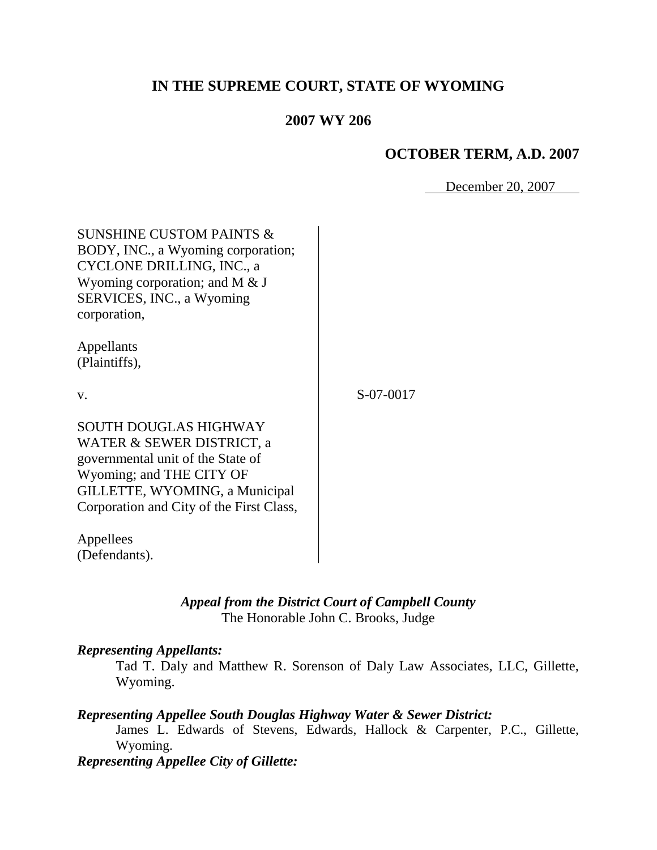# **IN THE SUPREME COURT, STATE OF WYOMING**

### **2007 WY 206**

### **OCTOBER TERM, A.D. 2007**

December 20, 2007

| <b>SUNSHINE CUSTOM PAINTS &amp;</b><br>BODY, INC., a Wyoming corporation;<br>CYCLONE DRILLING, INC., a<br>Wyoming corporation; and M $&$ J<br>SERVICES, INC., a Wyoming<br>corporation,                  |           |
|----------------------------------------------------------------------------------------------------------------------------------------------------------------------------------------------------------|-----------|
| Appellants<br>(Plaintiffs),                                                                                                                                                                              |           |
| V.                                                                                                                                                                                                       | S-07-0017 |
| <b>SOUTH DOUGLAS HIGHWAY</b><br>WATER & SEWER DISTRICT, a<br>governmental unit of the State of<br>Wyoming; and THE CITY OF<br>GILLETTE, WYOMING, a Municipal<br>Corporation and City of the First Class, |           |
| Appellees<br>(Defendants).                                                                                                                                                                               |           |

*Appeal from the District Court of Campbell County* The Honorable John C. Brooks, Judge

#### *Representing Appellants:*

Tad T. Daly and Matthew R. Sorenson of Daly Law Associates, LLC, Gillette, Wyoming.

### *Representing Appellee South Douglas Highway Water & Sewer District:*

James L. Edwards of Stevens, Edwards, Hallock & Carpenter, P.C., Gillette, Wyoming.

# *Representing Appellee City of Gillette:*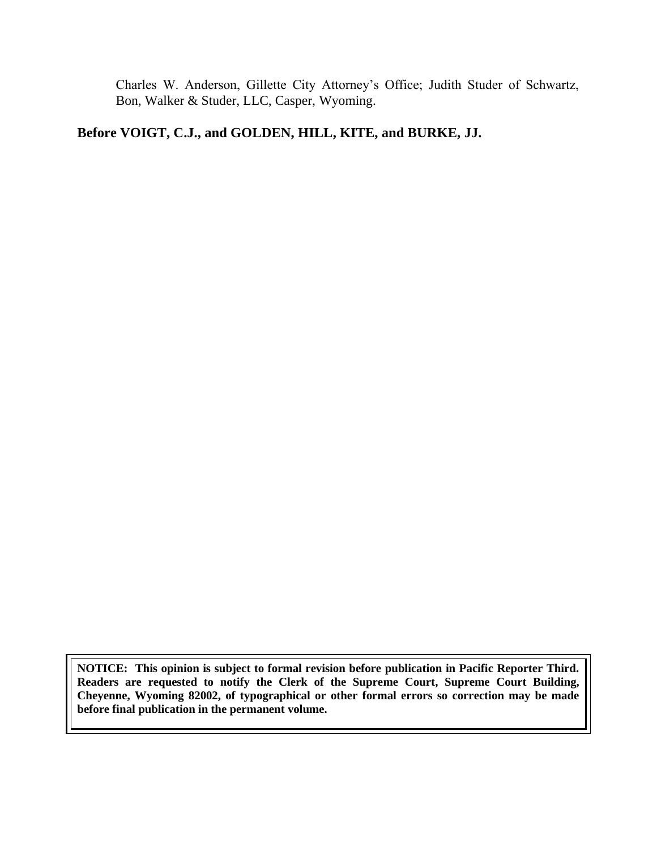Charles W. Anderson, Gillette City Attorney"s Office; Judith Studer of Schwartz, Bon, Walker & Studer, LLC, Casper, Wyoming.

## **Before VOIGT, C.J., and GOLDEN, HILL, KITE, and BURKE, JJ.**

**NOTICE: This opinion is subject to formal revision before publication in Pacific Reporter Third. Readers are requested to notify the Clerk of the Supreme Court, Supreme Court Building, Cheyenne, Wyoming 82002, of typographical or other formal errors so correction may be made before final publication in the permanent volume.**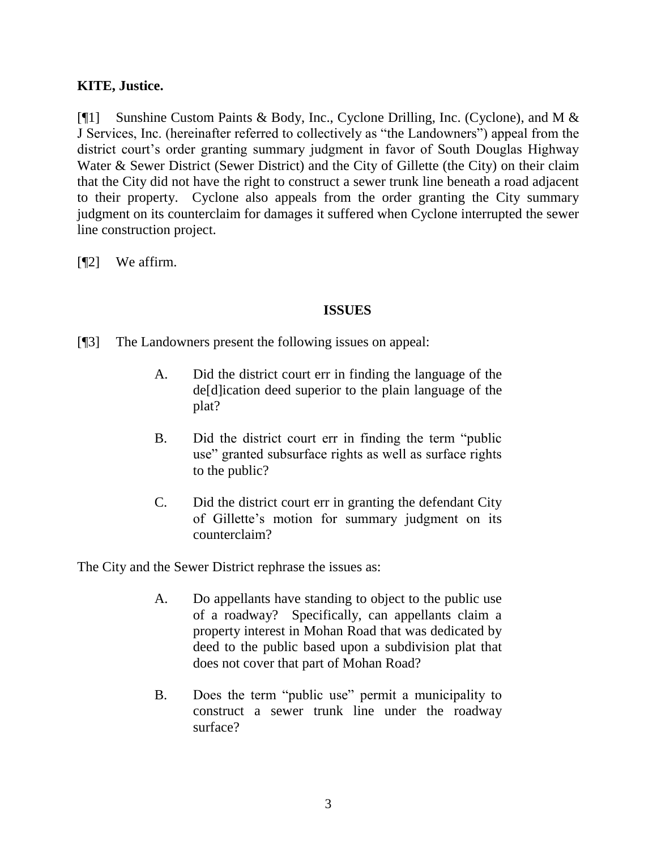## **KITE, Justice.**

[¶1] Sunshine Custom Paints & Body, Inc., Cyclone Drilling, Inc. (Cyclone), and M & J Services, Inc. (hereinafter referred to collectively as "the Landowners") appeal from the district court's order granting summary judgment in favor of South Douglas Highway Water & Sewer District (Sewer District) and the City of Gillette (the City) on their claim that the City did not have the right to construct a sewer trunk line beneath a road adjacent to their property. Cyclone also appeals from the order granting the City summary judgment on its counterclaim for damages it suffered when Cyclone interrupted the sewer line construction project.

[¶2] We affirm.

### **ISSUES**

[¶3] The Landowners present the following issues on appeal:

- A. Did the district court err in finding the language of the de[d]ication deed superior to the plain language of the plat?
- B. Did the district court err in finding the term "public use" granted subsurface rights as well as surface rights to the public?
- C. Did the district court err in granting the defendant City of Gillette"s motion for summary judgment on its counterclaim?

The City and the Sewer District rephrase the issues as:

- A. Do appellants have standing to object to the public use of a roadway? Specifically, can appellants claim a property interest in Mohan Road that was dedicated by deed to the public based upon a subdivision plat that does not cover that part of Mohan Road?
- B. Does the term "public use" permit a municipality to construct a sewer trunk line under the roadway surface?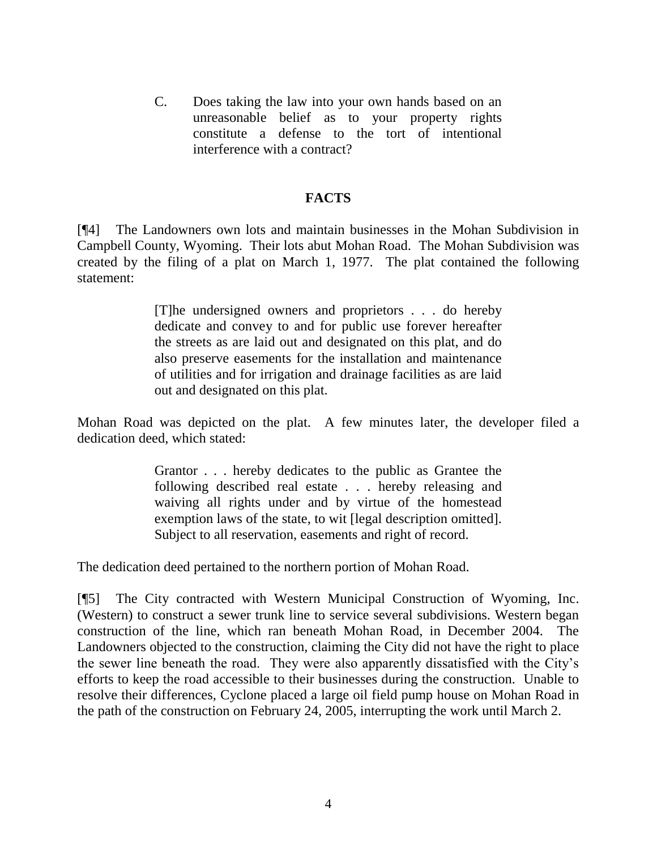C. Does taking the law into your own hands based on an unreasonable belief as to your property rights constitute a defense to the tort of intentional interference with a contract?

#### **FACTS**

[¶4] The Landowners own lots and maintain businesses in the Mohan Subdivision in Campbell County, Wyoming. Their lots abut Mohan Road. The Mohan Subdivision was created by the filing of a plat on March 1, 1977. The plat contained the following statement:

> [T]he undersigned owners and proprietors . . . do hereby dedicate and convey to and for public use forever hereafter the streets as are laid out and designated on this plat, and do also preserve easements for the installation and maintenance of utilities and for irrigation and drainage facilities as are laid out and designated on this plat.

Mohan Road was depicted on the plat. A few minutes later, the developer filed a dedication deed, which stated:

> Grantor . . . hereby dedicates to the public as Grantee the following described real estate . . . hereby releasing and waiving all rights under and by virtue of the homestead exemption laws of the state, to wit [legal description omitted]. Subject to all reservation, easements and right of record.

The dedication deed pertained to the northern portion of Mohan Road.

[¶5] The City contracted with Western Municipal Construction of Wyoming, Inc. (Western) to construct a sewer trunk line to service several subdivisions. Western began construction of the line, which ran beneath Mohan Road, in December 2004. The Landowners objected to the construction, claiming the City did not have the right to place the sewer line beneath the road. They were also apparently dissatisfied with the City"s efforts to keep the road accessible to their businesses during the construction. Unable to resolve their differences, Cyclone placed a large oil field pump house on Mohan Road in the path of the construction on February 24, 2005, interrupting the work until March 2.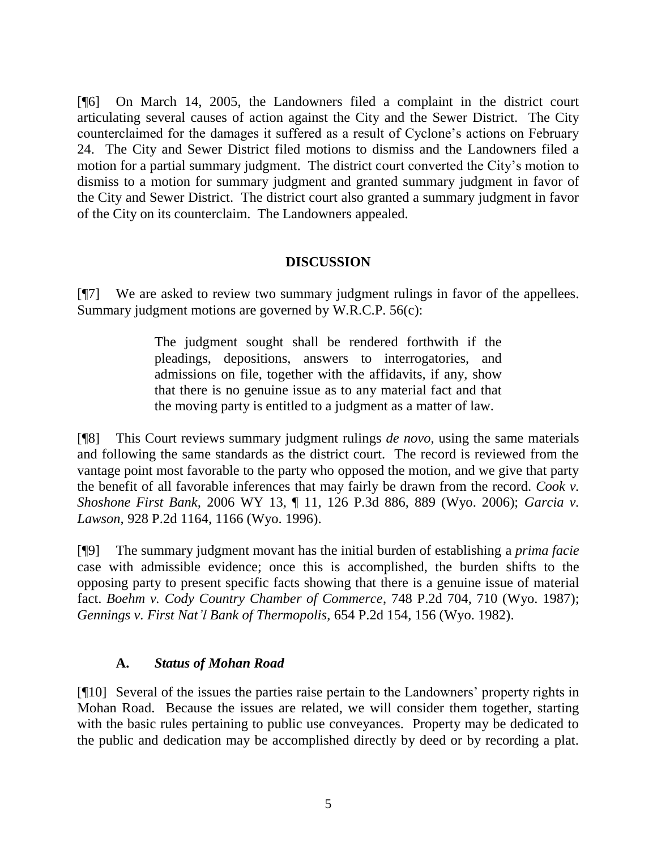[¶6] On March 14, 2005, the Landowners filed a complaint in the district court articulating several causes of action against the City and the Sewer District. The City counterclaimed for the damages it suffered as a result of Cyclone"s actions on February 24. The City and Sewer District filed motions to dismiss and the Landowners filed a motion for a partial summary judgment. The district court converted the City"s motion to dismiss to a motion for summary judgment and granted summary judgment in favor of the City and Sewer District. The district court also granted a summary judgment in favor of the City on its counterclaim. The Landowners appealed.

## **DISCUSSION**

[¶7] We are asked to review two summary judgment rulings in favor of the appellees. Summary judgment motions are governed by W.R.C.P. 56(c):

> The judgment sought shall be rendered forthwith if the pleadings, depositions, answers to interrogatories, and admissions on file, together with the affidavits, if any, show that there is no genuine issue as to any material fact and that the moving party is entitled to a judgment as a matter of law.

[¶8] This Court reviews summary judgment rulings *de novo*, using the same materials and following the same standards as the district court. The record is reviewed from the vantage point most favorable to the party who opposed the motion, and we give that party the benefit of all favorable inferences that may fairly be drawn from the record. *Cook v. Shoshone First Bank,* 2006 WY 13, ¶ 11, 126 P.3d 886, 889 (Wyo. 2006); *Garcia v. Lawson,* 928 P.2d 1164, 1166 (Wyo. 1996).

[¶9] The summary judgment movant has the initial burden of establishing a *prima facie* case with admissible evidence; once this is accomplished, the burden shifts to the opposing party to present specific facts showing that there is a genuine issue of material fact. *Boehm v. Cody Country Chamber of Commerce*, 748 P.2d 704, 710 (Wyo. 1987); *Gennings v. First Nat'l Bank of Thermopolis*, 654 P.2d 154, 156 (Wyo. 1982).

### **A.** *Status of Mohan Road*

[¶10] Several of the issues the parties raise pertain to the Landowners" property rights in Mohan Road. Because the issues are related, we will consider them together, starting with the basic rules pertaining to public use conveyances. Property may be dedicated to the public and dedication may be accomplished directly by deed or by recording a plat.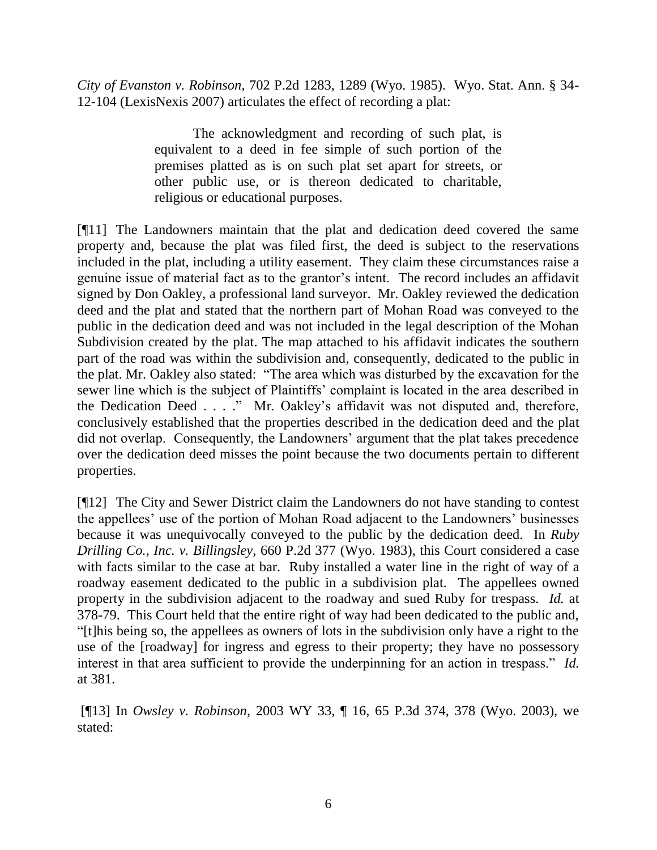*City of Evanston v. Robinson,* 702 P.2d 1283, 1289 (Wyo. 1985). Wyo. Stat. Ann. § 34- 12-104 (LexisNexis 2007) articulates the effect of recording a plat:

> The acknowledgment and recording of such plat, is equivalent to a deed in fee simple of such portion of the premises platted as is on such plat set apart for streets, or other public use, or is thereon dedicated to charitable, religious or educational purposes.

[¶11] The Landowners maintain that the plat and dedication deed covered the same property and, because the plat was filed first, the deed is subject to the reservations included in the plat, including a utility easement. They claim these circumstances raise a genuine issue of material fact as to the grantor"s intent. The record includes an affidavit signed by Don Oakley, a professional land surveyor. Mr. Oakley reviewed the dedication deed and the plat and stated that the northern part of Mohan Road was conveyed to the public in the dedication deed and was not included in the legal description of the Mohan Subdivision created by the plat. The map attached to his affidavit indicates the southern part of the road was within the subdivision and, consequently, dedicated to the public in the plat. Mr. Oakley also stated: "The area which was disturbed by the excavation for the sewer line which is the subject of Plaintiffs" complaint is located in the area described in the Dedication Deed . . . ." Mr. Oakley"s affidavit was not disputed and, therefore, conclusively established that the properties described in the dedication deed and the plat did not overlap. Consequently, the Landowners' argument that the plat takes precedence over the dedication deed misses the point because the two documents pertain to different properties.

[¶12] The City and Sewer District claim the Landowners do not have standing to contest the appellees' use of the portion of Mohan Road adjacent to the Landowners' businesses because it was unequivocally conveyed to the public by the dedication deed. In *Ruby Drilling Co., Inc. v. Billingsley,* 660 P.2d 377 (Wyo. 1983), this Court considered a case with facts similar to the case at bar. Ruby installed a water line in the right of way of a roadway easement dedicated to the public in a subdivision plat. The appellees owned property in the subdivision adjacent to the roadway and sued Ruby for trespass. *Id.* at 378-79. This Court held that the entire right of way had been dedicated to the public and, "[t]his being so, the appellees as owners of lots in the subdivision only have a right to the use of the [roadway] for ingress and egress to their property; they have no possessory interest in that area sufficient to provide the underpinning for an action in trespass." *Id.*  at 381.

[¶13] In *Owsley v. Robinson,* 2003 WY 33, ¶ 16, 65 P.3d 374, 378 (Wyo. 2003), we stated: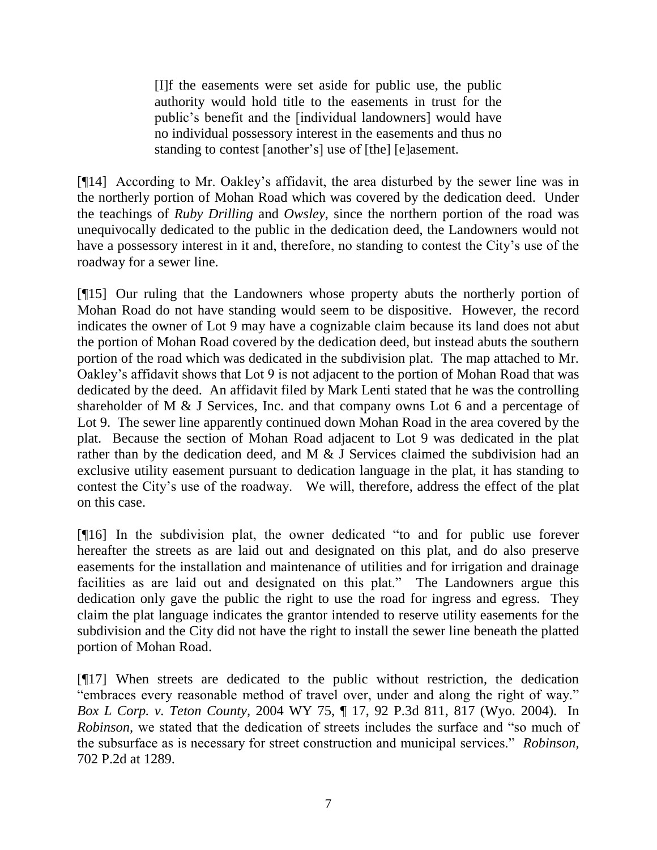[I]f the easements were set aside for public use, the public authority would hold title to the easements in trust for the public"s benefit and the [individual landowners] would have no individual possessory interest in the easements and thus no standing to contest [another's] use of [the] [e]asement.

[¶14] According to Mr. Oakley"s affidavit, the area disturbed by the sewer line was in the northerly portion of Mohan Road which was covered by the dedication deed. Under the teachings of *Ruby Drilling* and *Owsley*, since the northern portion of the road was unequivocally dedicated to the public in the dedication deed, the Landowners would not have a possessory interest in it and, therefore, no standing to contest the City's use of the roadway for a sewer line.

[¶15] Our ruling that the Landowners whose property abuts the northerly portion of Mohan Road do not have standing would seem to be dispositive. However, the record indicates the owner of Lot 9 may have a cognizable claim because its land does not abut the portion of Mohan Road covered by the dedication deed, but instead abuts the southern portion of the road which was dedicated in the subdivision plat. The map attached to Mr. Oakley"s affidavit shows that Lot 9 is not adjacent to the portion of Mohan Road that was dedicated by the deed. An affidavit filed by Mark Lenti stated that he was the controlling shareholder of M & J Services, Inc. and that company owns Lot 6 and a percentage of Lot 9. The sewer line apparently continued down Mohan Road in the area covered by the plat. Because the section of Mohan Road adjacent to Lot 9 was dedicated in the plat rather than by the dedication deed, and M & J Services claimed the subdivision had an exclusive utility easement pursuant to dedication language in the plat, it has standing to contest the City"s use of the roadway. We will, therefore, address the effect of the plat on this case.

[¶16] In the subdivision plat, the owner dedicated "to and for public use forever hereafter the streets as are laid out and designated on this plat, and do also preserve easements for the installation and maintenance of utilities and for irrigation and drainage facilities as are laid out and designated on this plat." The Landowners argue this dedication only gave the public the right to use the road for ingress and egress. They claim the plat language indicates the grantor intended to reserve utility easements for the subdivision and the City did not have the right to install the sewer line beneath the platted portion of Mohan Road.

[¶17] When streets are dedicated to the public without restriction, the dedication "embraces every reasonable method of travel over, under and along the right of way." *Box L Corp. v. Teton County,* 2004 WY 75, ¶ 17, 92 P.3d 811, 817 (Wyo. 2004). In *Robinson*, we stated that the dedication of streets includes the surface and "so much of the subsurface as is necessary for street construction and municipal services." *Robinson,* 702 P.2d at 1289.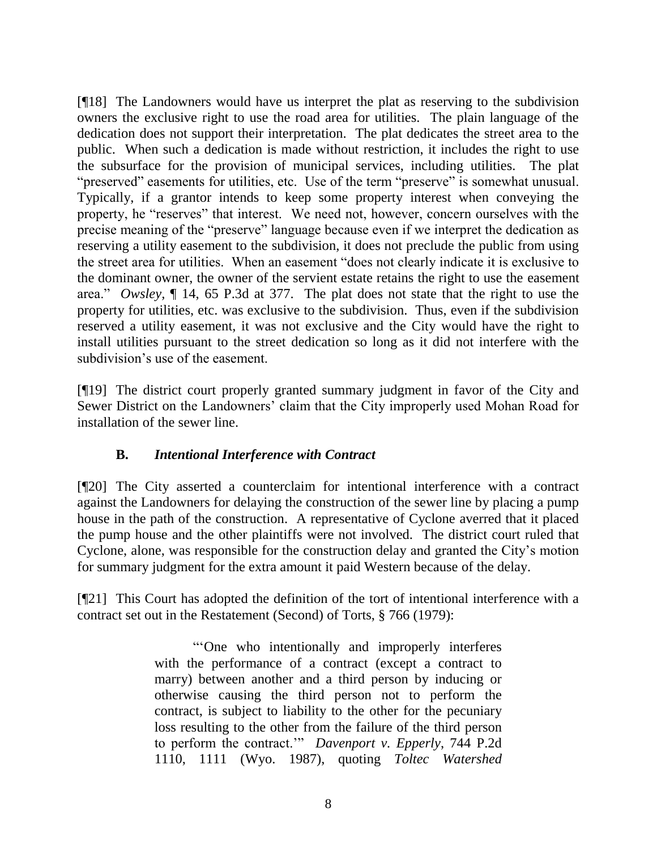[¶18] The Landowners would have us interpret the plat as reserving to the subdivision owners the exclusive right to use the road area for utilities. The plain language of the dedication does not support their interpretation. The plat dedicates the street area to the public. When such a dedication is made without restriction, it includes the right to use the subsurface for the provision of municipal services, including utilities. The plat "preserved" easements for utilities, etc. Use of the term "preserve" is somewhat unusual. Typically, if a grantor intends to keep some property interest when conveying the property, he "reserves" that interest. We need not, however, concern ourselves with the precise meaning of the "preserve" language because even if we interpret the dedication as reserving a utility easement to the subdivision, it does not preclude the public from using the street area for utilities. When an easement "does not clearly indicate it is exclusive to the dominant owner, the owner of the servient estate retains the right to use the easement area." *Owsley,* ¶ 14, 65 P.3d at 377. The plat does not state that the right to use the property for utilities, etc. was exclusive to the subdivision. Thus, even if the subdivision reserved a utility easement, it was not exclusive and the City would have the right to install utilities pursuant to the street dedication so long as it did not interfere with the subdivision's use of the easement.

[¶19] The district court properly granted summary judgment in favor of the City and Sewer District on the Landowners' claim that the City improperly used Mohan Road for installation of the sewer line.

## **B.** *Intentional Interference with Contract*

[¶20] The City asserted a counterclaim for intentional interference with a contract against the Landowners for delaying the construction of the sewer line by placing a pump house in the path of the construction. A representative of Cyclone averred that it placed the pump house and the other plaintiffs were not involved. The district court ruled that Cyclone, alone, was responsible for the construction delay and granted the City"s motion for summary judgment for the extra amount it paid Western because of the delay.

[¶21] This Court has adopted the definition of the tort of intentional interference with a contract set out in the Restatement (Second) of Torts, § 766 (1979):

> ""One who intentionally and improperly interferes with the performance of a contract (except a contract to marry) between another and a third person by inducing or otherwise causing the third person not to perform the contract, is subject to liability to the other for the pecuniary loss resulting to the other from the failure of the third person to perform the contract."" *Davenport v. Epperly*, 744 P.2d 1110, 1111 (Wyo. 1987), quoting *Toltec Watershed*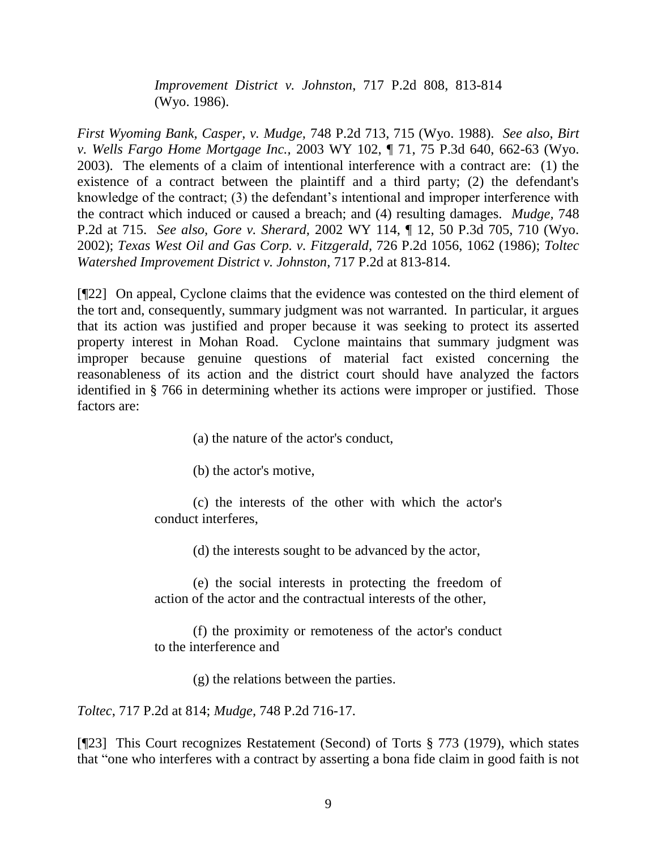*Improvement District v. Johnston*, 717 P.2d 808, 813-814 (Wyo. 1986).

*First Wyoming Bank, Casper, v. Mudge,* 748 P.2d 713, 715 (Wyo. 1988). *See also*, *Birt v. Wells Fargo Home Mortgage Inc.,* 2003 WY 102, ¶ 71, 75 P.3d 640, 662-63 (Wyo. 2003). The elements of a claim of intentional interference with a contract are: (1) the existence of a contract between the plaintiff and a third party; (2) the defendant's knowledge of the contract; (3) the defendant's intentional and improper interference with the contract which induced or caused a breach; and (4) resulting damages. *Mudge,* 748 P.2d at 715. *See also, Gore v. Sherard,* 2002 WY 114, ¶ 12, 50 P.3d 705, 710 (Wyo. 2002); *Texas West Oil and Gas Corp. v. Fitzgerald*, 726 P.2d 1056, 1062 (1986); *Toltec Watershed Improvement District v. Johnston*, 717 P.2d at 813-814.

[¶22] On appeal, Cyclone claims that the evidence was contested on the third element of the tort and, consequently, summary judgment was not warranted. In particular, it argues that its action was justified and proper because it was seeking to protect its asserted property interest in Mohan Road. Cyclone maintains that summary judgment was improper because genuine questions of material fact existed concerning the reasonableness of its action and the district court should have analyzed the factors identified in § 766 in determining whether its actions were improper or justified. Those factors are:

(a) the nature of the actor's conduct,

(b) the actor's motive,

(c) the interests of the other with which the actor's conduct interferes,

(d) the interests sought to be advanced by the actor,

(e) the social interests in protecting the freedom of action of the actor and the contractual interests of the other,

(f) the proximity or remoteness of the actor's conduct to the interference and

(g) the relations between the parties.

*Toltec*, 717 P.2d at 814; *Mudge,* 748 P.2d 716-17.

[¶23] This Court recognizes Restatement (Second) of Torts § 773 (1979), which states that "one who interferes with a contract by asserting a bona fide claim in good faith is not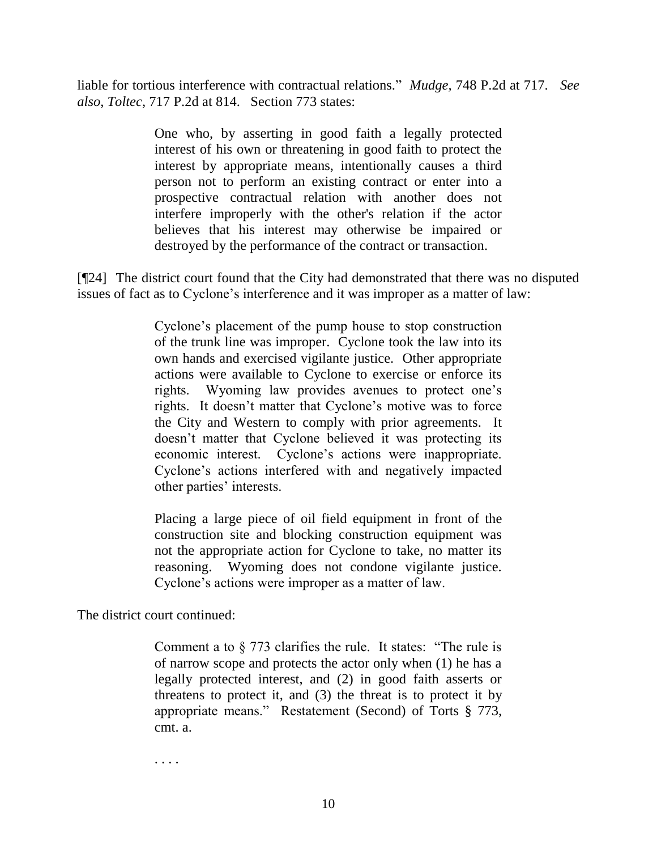liable for tortious interference with contractual relations." *Mudge,* 748 P.2d at 717. *See also*, *Toltec,* 717 P.2d at 814. Section 773 states:

> One who, by asserting in good faith a legally protected interest of his own or threatening in good faith to protect the interest by appropriate means, intentionally causes a third person not to perform an existing contract or enter into a prospective contractual relation with another does not interfere improperly with the other's relation if the actor believes that his interest may otherwise be impaired or destroyed by the performance of the contract or transaction.

[¶24] The district court found that the City had demonstrated that there was no disputed issues of fact as to Cyclone's interference and it was improper as a matter of law:

> Cyclone"s placement of the pump house to stop construction of the trunk line was improper. Cyclone took the law into its own hands and exercised vigilante justice. Other appropriate actions were available to Cyclone to exercise or enforce its rights. Wyoming law provides avenues to protect one"s rights. It doesn't matter that Cyclone's motive was to force the City and Western to comply with prior agreements. It doesn"t matter that Cyclone believed it was protecting its economic interest. Cyclone"s actions were inappropriate. Cyclone"s actions interfered with and negatively impacted other parties' interests.

> Placing a large piece of oil field equipment in front of the construction site and blocking construction equipment was not the appropriate action for Cyclone to take, no matter its reasoning. Wyoming does not condone vigilante justice. Cyclone's actions were improper as a matter of law.

The district court continued:

Comment a to § 773 clarifies the rule. It states: "The rule is of narrow scope and protects the actor only when (1) he has a legally protected interest, and (2) in good faith asserts or threatens to protect it, and (3) the threat is to protect it by appropriate means." Restatement (Second) of Torts § 773, cmt. a.

. . . .